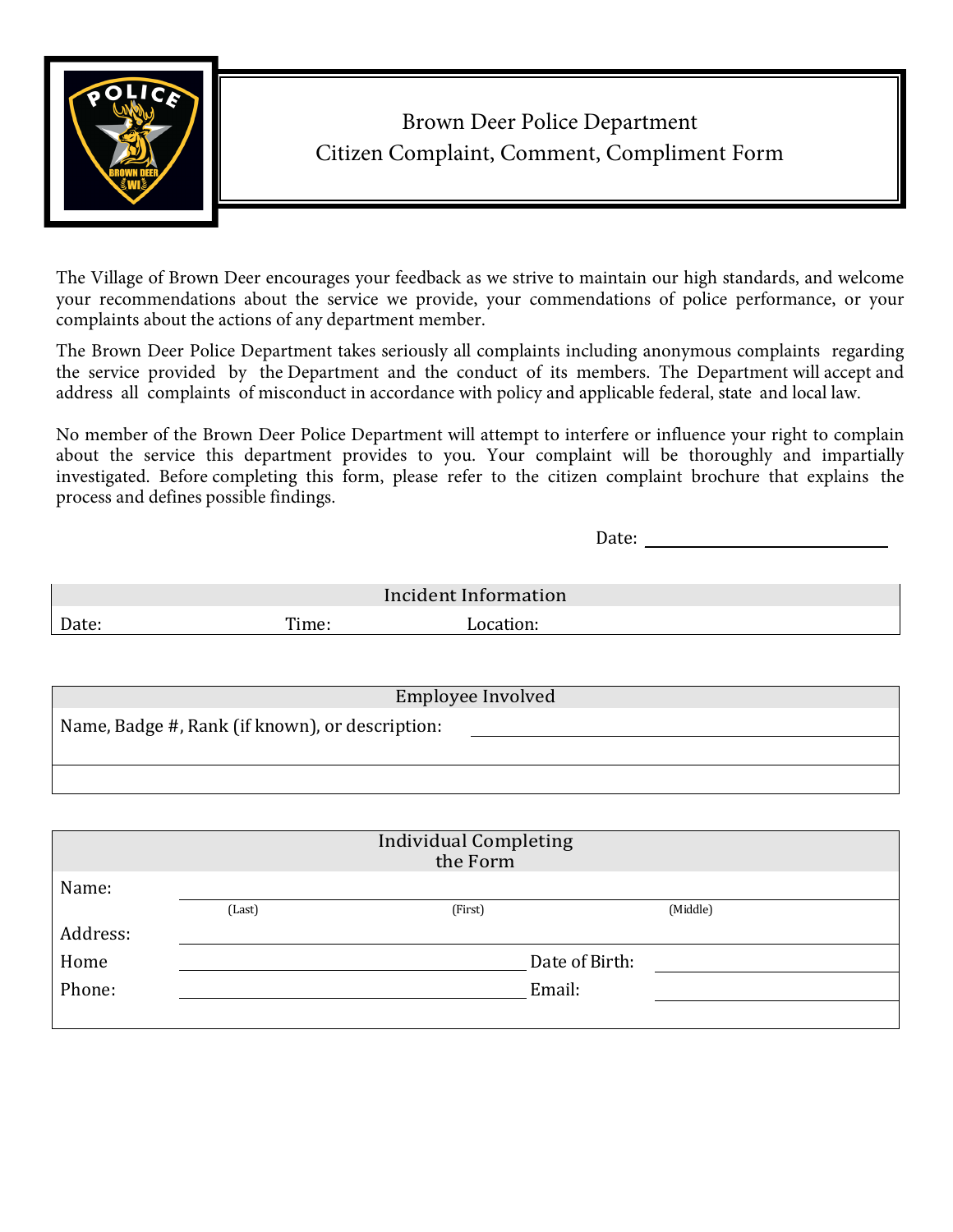

## Brown Deer Police Department Citizen Complaint, Comment, Compliment Form

The Village of Brown Deer encourages your feedback as we strive to maintain our high standards, and welcome your recommendations about the service we provide, your commendations of police performance, or your complaints about the actions of any department member.

The Brown Deer Police Department takes seriously all complaints including anonymous complaints regarding the service provided by the Department and the conduct of its members. The Department will accept and address all complaints of misconduct in accordance with policy and applicable federal, state and local law.

No member of the Brown Deer Police Department will attempt to interfere or influence your right to complain about the service this department provides to you. Your complaint will be thoroughly and impartially investigated. Before completing this form, please refer to the citizen complaint brochure that explains the process and defines possible findings.

Date: \_\_\_\_\_\_\_\_\_\_\_\_\_\_\_\_\_\_\_\_\_\_\_\_\_\_

|       |       | Incident Information |  |
|-------|-------|----------------------|--|
| Date: | Time: |                      |  |

| Employee Involved                               |
|-------------------------------------------------|
| Name, Badge #, Rank (if known), or description: |
|                                                 |
|                                                 |

|          |                | <b>Individual Completing</b><br>the Form |          |  |
|----------|----------------|------------------------------------------|----------|--|
| Name:    |                |                                          |          |  |
|          | (Last)         | (First)                                  | (Middle) |  |
| Address: |                |                                          |          |  |
| Home     | Date of Birth: |                                          |          |  |
| Phone:   |                | Email:                                   |          |  |
|          |                |                                          |          |  |